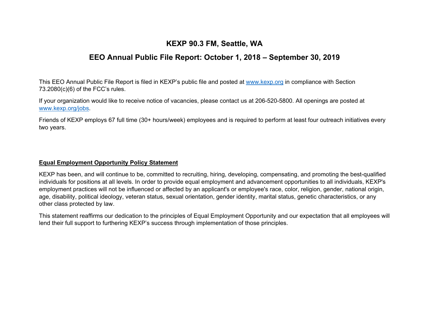# **KEXP 90.3 FM, Seattle, WA**

# **EEO Annual Public File Report: October 1, 2018 – September 30, 2019**

This EEO Annual Public File Report is filed in KEXP's public file and posted at www.kexp.org in compliance with Section 73.2080(c)(6) of the FCC's rules.

If your organization would like to receive notice of vacancies, please contact us at 206-520-5800. All openings are posted at www.kexp.org/jobs.

Friends of KEXP employs 67 full time (30+ hours/week) employees and is required to perform at least four outreach initiatives every two years.

#### **Equal Employment Opportunity Policy Statement**

KEXP has been, and will continue to be, committed to recruiting, hiring, developing, compensating, and promoting the best-qualified individuals for positions at all levels. In order to provide equal employment and advancement opportunities to all individuals, KEXP's employment practices will not be influenced or affected by an applicant's or employee's race, color, religion, gender, national origin, age, disability, political ideology, veteran status, sexual orientation, gender identity, marital status, genetic characteristics, or any other class protected by law.

This statement reaffirms our dedication to the principles of Equal Employment Opportunity and our expectation that all employees will lend their full support to furthering KEXP's success through implementation of those principles.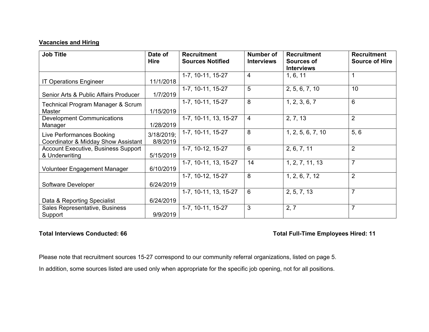## **Vacancies and Hiring**

| <b>Job Title</b>                                                 | Date of<br>Hire        | <b>Recruitment</b><br><b>Sources Notified</b> | <b>Number of</b><br><b>Interviews</b> | <b>Recruitment</b><br><b>Sources of</b><br><b>Interviews</b> | <b>Recruitment</b><br><b>Source of Hire</b> |
|------------------------------------------------------------------|------------------------|-----------------------------------------------|---------------------------------------|--------------------------------------------------------------|---------------------------------------------|
| <b>IT Operations Engineer</b>                                    | 11/1/2018              | 1-7, 10-11, 15-27                             | $\overline{4}$                        | 1, 6, 11                                                     |                                             |
| Senior Arts & Public Affairs Producer                            | 1/7/2019               | 1-7, 10-11, 15-27                             | 5                                     | 2, 5, 6, 7, 10                                               | 10                                          |
| Technical Program Manager & Scrum<br>Master                      | 1/15/2019              | 1-7, 10-11, 15-27                             | 8                                     | 1, 2, 3, 6, 7                                                | 6                                           |
| <b>Development Communications</b><br>Manager                     | 1/28/2019              | 1-7, 10-11, 13, 15-27                         | $\overline{4}$                        | 2, 7, 13                                                     | 2                                           |
| Live Performances Booking<br>Coordinator & Midday Show Assistant | 3/18/2019;<br>8/8/2019 | 1-7, 10-11, 15-27                             | 8                                     | 1, 2, 5, 6, 7, 10                                            | 5, 6                                        |
| <b>Account Executive, Business Support</b><br>& Underwriting     | 5/15/2019              | 1-7, 10-12, 15-27                             | 6                                     | 2, 6, 7, 11                                                  | $\overline{2}$                              |
| Volunteer Engagement Manager                                     | 6/10/2019              | 1-7, 10-11, 13, 15-27                         | 14                                    | 1, 2, 7, 11, 13                                              | $\overline{7}$                              |
| Software Developer                                               | 6/24/2019              | 1-7, 10-12, 15-27                             | 8                                     | 1, 2, 6, 7, 12                                               | $\overline{2}$                              |
| Data & Reporting Specialist                                      | 6/24/2019              | 1-7, 10-11, 13, 15-27                         | 6                                     | 2, 5, 7, 13                                                  | $\overline{7}$                              |
| Sales Representative, Business<br>Support                        | 9/9/2019               | 1-7, 10-11, 15-27                             | 3                                     | 2, 7                                                         | $\overline{7}$                              |

## Total Interviews Conducted: 66 **Total Full-Time Employees Hired: 11** Total Full-Time Employees Hired: 11

Please note that recruitment sources 15-27 correspond to our community referral organizations, listed on page 5.

In addition, some sources listed are used only when appropriate for the specific job opening, not for all positions.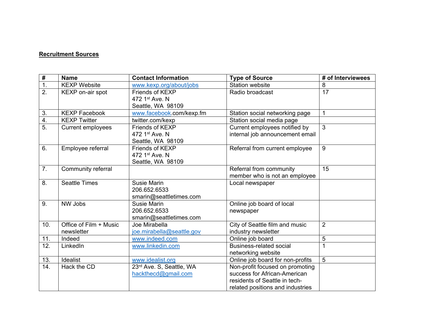#### **Recruitment Sources**

| #                | <b>Name</b>                          | <b>Contact Information</b>                             | <b>Type of Source</b>                                                                                                                | # of Interviewees |
|------------------|--------------------------------------|--------------------------------------------------------|--------------------------------------------------------------------------------------------------------------------------------------|-------------------|
| $\overline{1}$ . | <b>KEXP Website</b>                  | www.kexp.org/about/jobs                                | <b>Station website</b>                                                                                                               | 8                 |
| $\overline{2}$ . | KEXP on-air spot                     | Friends of KEXP<br>472 1st Ave. N<br>Seattle, WA 98109 | Radio broadcast                                                                                                                      | 17                |
| 3.               | <b>KEXP Facebook</b>                 | www.facebook.com/kexp.fm                               | Station social networking page                                                                                                       | 1                 |
| $\overline{4}$ . | <b>KEXP Twitter</b>                  | twitter.com/kexp                                       | Station social media page                                                                                                            |                   |
| $\overline{5}$ . | Current employees                    | Friends of KEXP<br>472 1st Ave. N<br>Seattle, WA 98109 | Current employees notified by<br>internal job announcement email                                                                     | 3                 |
| 6.               | Employee referral                    | Friends of KEXP<br>472 1st Ave, N<br>Seattle, WA 98109 | Referral from current employee                                                                                                       | 9                 |
| 7 <sub>1</sub>   | Community referral                   |                                                        | Referral from community<br>member who is not an employee                                                                             | 15                |
| 8.               | <b>Seattle Times</b>                 | Susie Marin<br>206.652.6533<br>smarin@seattletimes.com | Local newspaper                                                                                                                      |                   |
| 9.               | NW Jobs                              | Susie Marin<br>206.652.6533<br>smarin@seattletimes.com | Online job board of local<br>newspaper                                                                                               |                   |
| 10.              | Office of Film + Music<br>newsletter | Joe Mirabella<br>joe.mirabella@seattle.gov             | City of Seattle film and music<br>industry newsletter                                                                                | $\overline{2}$    |
| 11.              | Indeed                               | www.indeed.com                                         | Online job board                                                                                                                     | 5                 |
| 12.              | LinkedIn                             | www.linkedin.com                                       | Business-related social<br>networking website                                                                                        |                   |
| 13.              | Idealist                             | www.idealist.org                                       | Online job board for non-profits                                                                                                     | 5                 |
| 14.              | Hack the CD                          | 23rd Ave. S, Seattle, WA<br>hackthecd@gmail.com        | Non-profit focused on promoting<br>success for African-American<br>residents of Seattle in tech-<br>related positions and industries |                   |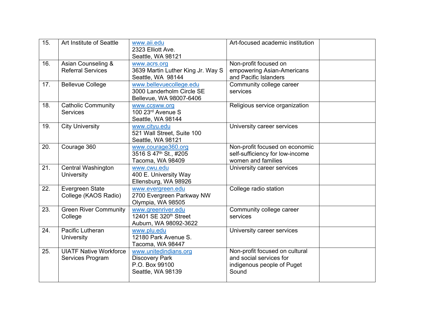| 15. | Art Institute of Seattle                          | www.aii.edu<br>2323 Elliott Ave.<br>Seattle, WA 98121                                 | Art-focused academic institution                                                                 |  |
|-----|---------------------------------------------------|---------------------------------------------------------------------------------------|--------------------------------------------------------------------------------------------------|--|
| 16. | Asian Counseling &<br><b>Referral Services</b>    | www.acrs.org<br>3639 Martin Luther King Jr. Way S<br>Seattle, WA 98144                | Non-profit focused on<br>empowering Asian-Americans<br>and Pacific Islanders                     |  |
| 17. | <b>Bellevue College</b>                           | www.bellevuecollege.edu<br>3000 Landerholm Circle SE<br>Bellevue, WA 98007-6406       | Community college career<br>services                                                             |  |
| 18. | <b>Catholic Community</b><br><b>Services</b>      | www.ccsww.org<br>100 23rd Avenue S<br>Seattle, WA 98144                               | Religious service organization                                                                   |  |
| 19. | <b>City University</b>                            | www.cityu.edu<br>521 Wall Street, Suite 100<br>Seattle, WA 98121                      | University career services                                                                       |  |
| 20. | Courage 360                                       | www.courage360.org<br>3516 S 47th St., #205<br>Tacoma, WA 98409                       | Non-profit focused on economic<br>self-sufficiency for low-income<br>women and families          |  |
| 21. | <b>Central Washington</b><br><b>University</b>    | www.cwu.edu<br>400 E. University Way<br>Ellensburg, WA 98926                          | University career services                                                                       |  |
| 22. | Evergreen State<br>College (KAOS Radio)           | www.evergreen.edu<br>2700 Evergreen Parkway NW<br>Olympia, WA 98505                   | College radio station                                                                            |  |
| 23. | <b>Green River Community</b><br>College           | www.greenriver.edu<br>12401 SE 320th Street<br>Auburn, WA 98092-3622                  | Community college career<br>services                                                             |  |
| 24. | Pacific Lutheran<br><b>University</b>             | www.plu.edu<br>12180 Park Avenue S.<br>Tacoma, WA 98447                               | University career services                                                                       |  |
| 25. | <b>UIATF Native Workforce</b><br>Services Program | www.unitedindians.org<br><b>Discovery Park</b><br>P.O. Box 99100<br>Seattle, WA 98139 | Non-profit focused on cultural<br>and social services for<br>indigenous people of Puget<br>Sound |  |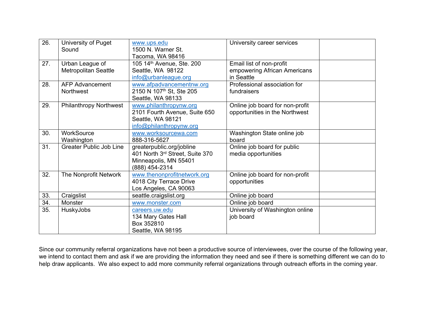| 26. | University of Puget                            | www.ups.edu                                                                                             | University career services                                             |  |
|-----|------------------------------------------------|---------------------------------------------------------------------------------------------------------|------------------------------------------------------------------------|--|
|     | Sound                                          | 1500 N. Warner St.<br>Tacoma, WA 98416                                                                  |                                                                        |  |
| 27. | Urban League of<br><b>Metropolitan Seattle</b> | 105 14th Avenue, Ste. 200<br>Seattle, WA 98122<br>info@urbanleague.org                                  | Email list of non-profit<br>empowering African Americans<br>in Seattle |  |
| 28. | <b>AFP Advancement</b><br>Northwest            | www.afpadvancementnw.org<br>2150 N 107 <sup>th</sup> St, Ste 205<br>Seattle, WA 98133                   | Professional association for<br>fundraisers                            |  |
| 29. | <b>Philanthropy Northwest</b>                  | www.philanthropynw.org<br>2101 Fourth Avenue, Suite 650<br>Seattle, WA 98121<br>info@philanthropynw.org | Online job board for non-profit<br>opportunities in the Northwest      |  |
| 30. | WorkSource<br>Washington                       | www.worksourcewa.com<br>888-316-5627                                                                    | Washington State online job<br>board                                   |  |
| 31. | <b>Greater Public Job Line</b>                 | greaterpublic.org/jobline<br>401 North 3rd Street, Suite 370<br>Minneapolis, MN 55401<br>(888) 454-2314 | Online job board for public<br>media opportunities                     |  |
| 32. | The Nonprofit Network                          | www.thenonprofitnetwork.org<br>4018 City Terrace Drive<br>Los Angeles, CA 90063                         | Online job board for non-profit<br>opportunities                       |  |
| 33. | Craigslist                                     | seattle.craigslist.org                                                                                  | Online job board                                                       |  |
| 34. | Monster                                        | www.monster.com                                                                                         | Online job board                                                       |  |
| 35. | HuskyJobs                                      | careers.uw.edu<br>134 Mary Gates Hall<br>Box 352810<br>Seattle, WA 98195                                | University of Washington online<br>job board                           |  |

Since our community referral organizations have not been a productive source of interviewees, over the course of the following year, we intend to contact them and ask if we are providing the information they need and see if there is something different we can do to help draw applicants. We also expect to add more community referral organizations through outreach efforts in the coming year.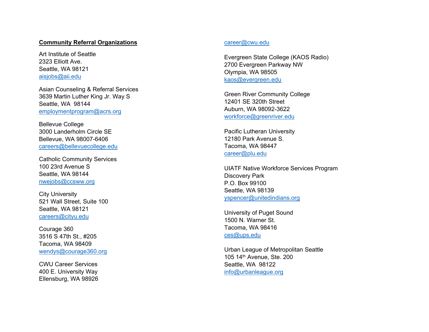#### **Community Referral Organizations**

Art Institute of Seattle 2323 Elliott Ave. Seattle, WA 98121 aisjobs@aii.edu

Asian Counseling & Referral Services 3639 Martin Luther King Jr. Way S Seattle, WA 98144 employmentprogram@acrs.org

Bellevue College 3000 Landerholm Circle SE Bellevue, WA 98007-6406 careers@bellevuecollege.edu

Catholic Community Services 100 23rd Avenue S Seattle, WA 98144 nwejobs@ccsww.org

City University 521 Wall Street, Suite 100 Seattle, WA 98121 careers@cityu.edu

Courage 360 3516 S 47th St., #205 Tacoma, WA 98409 wendys@courage360.org

CWU Career Services 400 E. University Way Ellensburg, WA 98926

#### career@cwu.edu

Evergreen State College (KAOS Radio) 2700 Evergreen Parkway NW Olympia, WA 98505 kaos@evergreen.edu

Green River Community College 12401 SE 320th Street Auburn, WA 98092-3622 workforce@greenriver.edu

Pacific Lutheran University 12180 Park Avenue S. Tacoma, WA 98447 career@plu.edu

UIATF Native Workforce Services Program Discovery Park P.O. Box 99100 Seattle, WA 98139 yspencer@unitedindians.org

University of Puget Sound 1500 N. Warner St. Tacoma, WA 98416 ces@ups.edu

Urban League of Metropolitan Seattle 105 14th Avenue, Ste. 200 Seattle, WA 98122 info@urbanleague.org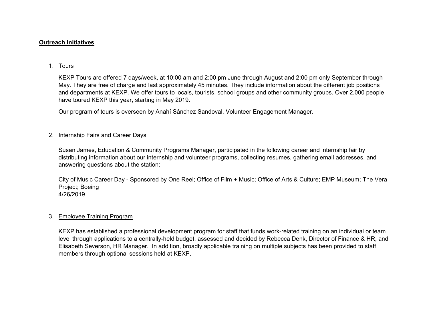### **Outreach Initiatives**

### 1. Tours

KEXP Tours are offered 7 days/week, at 10:00 am and 2:00 pm June through August and 2:00 pm only September through May. They are free of charge and last approximately 45 minutes. They include information about the different job positions and departments at KEXP. We offer tours to locals, tourists, school groups and other community groups. Over 2,000 people have toured KEXP this year, starting in May 2019.

Our program of tours is overseen by Anahí Sánchez Sandoval, Volunteer Engagement Manager.

#### 2. Internship Fairs and Career Days

Susan James, Education & Community Programs Manager, participated in the following career and internship fair by distributing information about our internship and volunteer programs, collecting resumes, gathering email addresses, and answering questions about the station:

City of Music Career Day - Sponsored by One Reel; Office of Film + Music; Office of Arts & Culture; EMP Museum; The Vera Project; Boeing 4/26/2019

#### 3. Employee Training Program

KEXP has established a professional development program for staff that funds work-related training on an individual or team level through applications to a centrally-held budget, assessed and decided by Rebecca Denk, Director of Finance & HR, and Elisabeth Severson, HR Manager. In addition, broadly applicable training on multiple subjects has been provided to staff members through optional sessions held at KEXP.